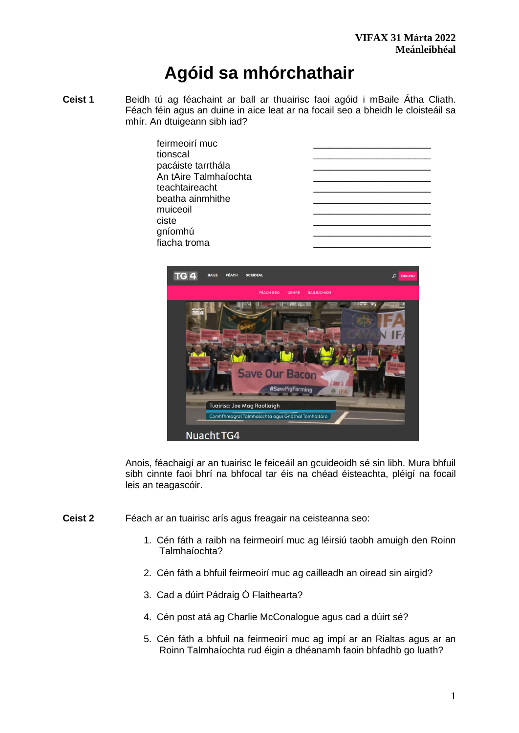# **Agóid sa mhórchathair**

**Ceist 1** Beidh tú ag féachaint ar ball ar thuairisc faoi agóid i mBaile Átha Cliath. Féach féin agus an duine in aice leat ar na focail seo a bheidh le cloisteáil sa mhír. An dtuigeann sibh iad?



Anois, féachaigí ar an tuairisc le feiceáil an gcuideoidh sé sin libh. Mura bhfuil sibh cinnte faoi bhrí na bhfocal tar éis na chéad éisteachta, pléigí na focail leis an teagascóir.

- **Ceist 2** Féach ar an tuairisc arís agus freagair na ceisteanna seo:
	- 1. Cén fáth a raibh na feirmeoirí muc ag léirsiú taobh amuigh den Roinn Talmhaíochta?
	- 2. Cén fáth a bhfuil feirmeoirí muc ag cailleadh an oiread sin airgid?
	- 3. Cad a dúirt Pádraig Ó Flaithearta?
	- 4. Cén post atá ag Charlie McConalogue agus cad a dúirt sé?
	- 5. Cén fáth a bhfuil na feirmeoirí muc ag impí ar an Rialtas agus ar an Roinn Talmhaíochta rud éigin a dhéanamh faoin bhfadhb go luath?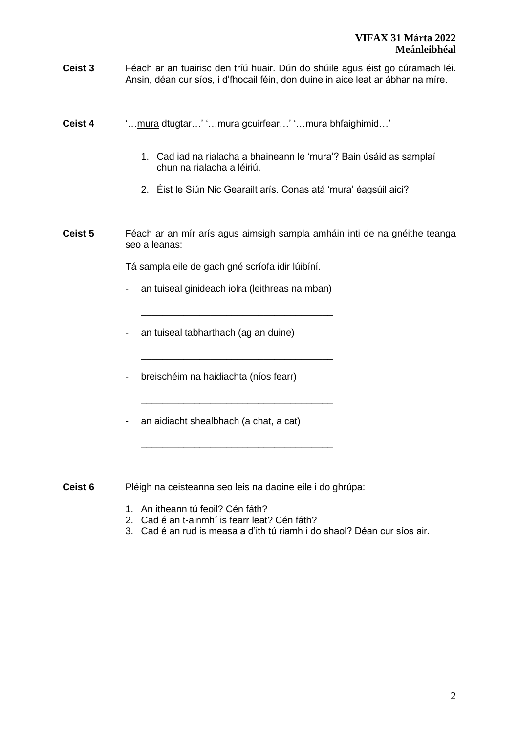- **Ceist 3** Féach ar an tuairisc den tríú huair. Dún do shúile agus éist go cúramach léi. Ansin, déan cur síos, i d'fhocail féin, don duine in aice leat ar ábhar na míre.
- **Ceist 4** '…mura dtugtar…' '…mura gcuirfear…' '…mura bhfaighimid…'
	- 1. Cad iad na rialacha a bhaineann le 'mura'? Bain úsáid as samplaí chun na rialacha a léiriú.
	- 2. Éist le Siún Nic Gearailt arís. Conas atá 'mura' éagsúil aici?
- **Ceist 5** Féach ar an mír arís agus aimsigh sampla amháin inti de na gnéithe teanga seo a leanas:

Tá sampla eile de gach gné scríofa idir lúibíní.

- an tuiseal ginideach iolra (leithreas na mban)

\_\_\_\_\_\_\_\_\_\_\_\_\_\_\_\_\_\_\_\_\_\_\_\_\_\_\_\_\_\_\_\_\_\_\_\_

\_\_\_\_\_\_\_\_\_\_\_\_\_\_\_\_\_\_\_\_\_\_\_\_\_\_\_\_\_\_\_\_\_\_\_\_

\_\_\_\_\_\_\_\_\_\_\_\_\_\_\_\_\_\_\_\_\_\_\_\_\_\_\_\_\_\_\_\_\_\_\_\_

\_\_\_\_\_\_\_\_\_\_\_\_\_\_\_\_\_\_\_\_\_\_\_\_\_\_\_\_\_\_\_\_\_\_\_\_

- an tuiseal tabharthach (ag an duine)

- breischéim na haidiachta (níos fearr)

- an aidiacht shealbhach (a chat, a cat)

**Ceist 6** Pléigh na ceisteanna seo leis na daoine eile i do ghrúpa:

- 1. An itheann tú feoil? Cén fáth?
- 2. Cad é an t-ainmhí is fearr leat? Cén fáth?
- 3. Cad é an rud is measa a d'ith tú riamh i do shaol? Déan cur síos air.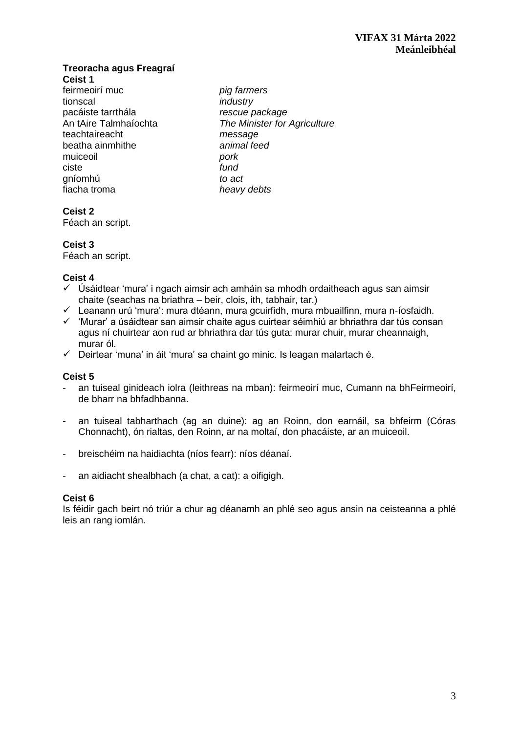#### **Treoracha agus Freagraí Ceist 1**

feirmeoirí muc *pig farmers* tionscal *industry* pacáiste tarrthála *rescue package*  teachtaireacht *message* beatha ainmhithe *animal feed* muiceoil *pork* ciste *fund* gníomhú *to act*

An tAire Talmhaíochta *The Minister for Agriculture*  fiacha troma *heavy debts*

## **Ceist 2**

Féach an script.

## **Ceist 3**

Féach an script.

## **Ceist 4**

- ✓ Úsáidtear 'mura' i ngach aimsir ach amháin sa mhodh ordaitheach agus san aimsir chaite (seachas na briathra – beir, clois, ith, tabhair, tar.)
- ✓ Leanann urú 'mura': mura dtéann, mura gcuirfidh, mura mbuailfinn, mura n-íosfaidh.
- ✓ 'Murar' a úsáidtear san aimsir chaite agus cuirtear séimhiú ar bhriathra dar tús consan agus ní chuirtear aon rud ar bhriathra dar tús guta: murar chuir, murar cheannaigh, murar ól.
- ✓ Deirtear 'muna' in áit 'mura' sa chaint go minic. Is leagan malartach é.

## **Ceist 5**

- an tuiseal ginideach iolra (leithreas na mban): feirmeoirí muc, Cumann na bhFeirmeoirí, de bharr na bhfadhbanna.
- an tuiseal tabharthach (ag an duine): ag an Roinn, don earnáil, sa bhfeirm (Córas Chonnacht), ón rialtas, den Roinn, ar na moltaí, don phacáiste, ar an muiceoil.
- breischéim na haidiachta (níos fearr): níos déanaí.
- an aidiacht shealbhach (a chat, a cat): a oifigigh.

## **Ceist 6**

Is féidir gach beirt nó triúr a chur ag déanamh an phlé seo agus ansin na ceisteanna a phlé leis an rang iomlán.